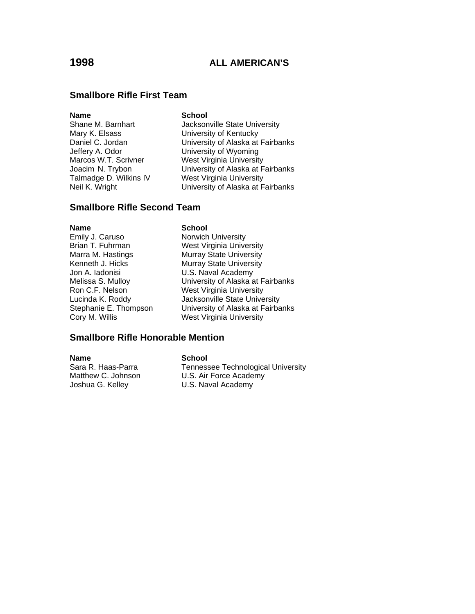#### **Smallbore Rifle First Team**

#### **Name** School

Shane M. Barnhart **Jacksonville State University** Mary K. Elsass **Nary K. Elsass** University of Kentucky<br>Daniel C. Jordan **Nary Contract University of Alaska** at University of Alaska at Fairbanks Jeffery A. Odor **Call Communists** University of Wyoming<br>Marcos W.T. Scrivner Mest Virginia University West Virginia University Joacim N. Trybon University of Alaska at Fairbanks Talmadge D. Wilkins IV West Virginia University Neil K. Wright **University of Alaska at Fairbanks** 

#### **Smallbore Rifle Second Team**

**Name** School<br>
Emily J. Caruso **School**<br>
Norwich Jon A. Iadonisi U.S. Naval Academy

Norwich University Brian T. Fuhrman West Virginia University Marra M. Hastings **Murray State University** Kenneth J. Hicks Murray State University Melissa S. Mulloy **Nelissa S. Mulloy** University of Alaska at Fairbanks<br>Ron C.F. Nelson West Virginia University West Virginia University Lucinda K. Roddy Jacksonville State University Stephanie E. Thompson University of Alaska at Fairbanks Cory M. Willis West Virginia University

#### **Smallbore Rifle Honorable Mention**

**Name School**<br>
Sara R. Haas-Parra **Communist** Tenness Joshua G. Kelley U.S. Naval Academy

Sara R. Haas-Parra Tennessee Technological University<br>Matthew C. Johnson U.S. Air Force Academy U.S. Air Force Academy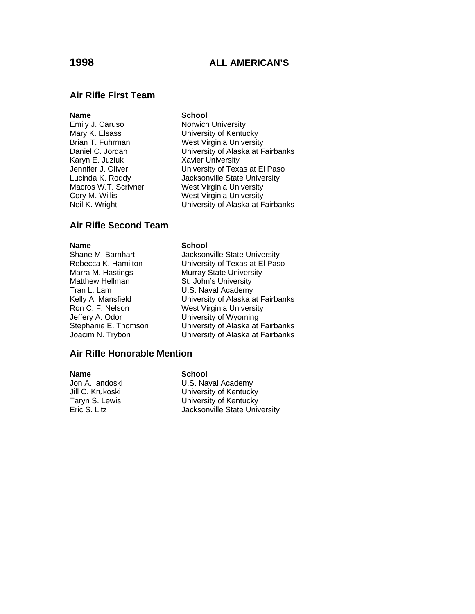#### **Air Rifle First Team**

#### **Name** School

Karyn E. Juziuk Xavier University

Emily J. Caruso Norwich University Mary K. Elsass<br>Brian T. Fuhrman West Virginia University West Virginia University Daniel C. Jordan University of Alaska at Fairbanks Jennifer J. Oliver **University of Texas at El Paso** Lucinda K. Roddy Jacksonville State University Macros W.T. Scrivner West Virginia University Cory M. Willis West Virginia University Neil K. Wright **University of Alaska at Fairbanks** 

#### **Air Rifle Second Team**

Shane M. Barnhart Rebecca K. Hamilton Marra M. Hastings Matthew Hellman Tran L. Lam Kelly A. Mansfield Ron C. F. Nelson Jeffery A. Odor Stephanie E. Thomson Joacim N. Trybon

#### **Name** School

| Jacksonville State University     |
|-----------------------------------|
| University of Texas at El Paso    |
| Murray State University           |
| St. John's University             |
| U.S. Naval Academy                |
| University of Alaska at Fairbanks |
| <b>West Virginia University</b>   |
| University of Wyoming             |
| University of Alaska at Fairbanks |
| University of Alaska at Fairbanks |
|                                   |

#### **Air Rifle Honorable Mention**

**Name** School

Jon A. Iandoski U.S. Naval Academy Jill C. Krukoski **Villian C. Krukoski** University of Kentucky<br>Taryn S. Lewis **Villian C. University of Kentucky** Taryn S. Lewis **Taryn S. Lewis** University of Kentucky<br>
Eric S. Litz **M. Litter State University** Jacksonville State Univ Jacksonville State University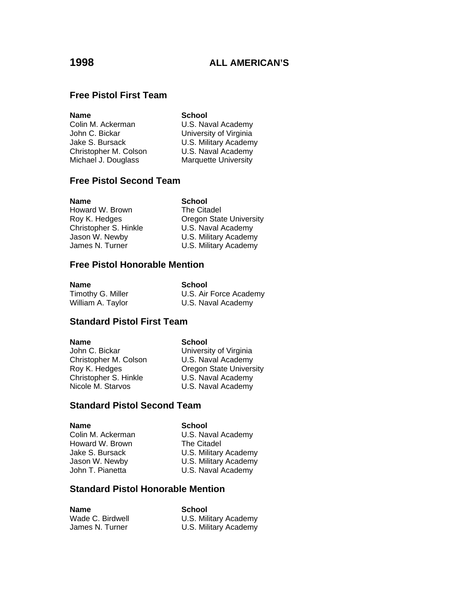### **Free Pistol First Team**

| <b>School</b>               |
|-----------------------------|
| U.S. Naval Academy          |
| University of Virginia      |
| U.S. Military Academy       |
| U.S. Naval Academy          |
| <b>Marquette University</b> |
|                             |

### **Free Pistol Second Team**

| <b>Name</b>           |  |
|-----------------------|--|
| Howard W. Brown       |  |
| Roy K. Hedges         |  |
| Christopher S. Hinkle |  |
| Jason W. Newby        |  |
| James N. Turner       |  |

**School** The Citadel **Oregon State University** U.S. Naval Academy U.S. Military Academy James N. Turner **W.S. Military Academy** 

#### **Free Pistol Honorable Mention**

| Name              | School                 |
|-------------------|------------------------|
| Timothy G. Miller | U.S. Air Force Academy |
| William A. Taylor | U.S. Naval Academy     |

#### **Standard Pistol First Team**

| Name                  | <b>School</b>                  |
|-----------------------|--------------------------------|
| John C. Bickar        | University of Virginia         |
| Christopher M. Colson | U.S. Naval Academy             |
| Roy K. Hedges         | <b>Oregon State University</b> |
| Christopher S. Hinkle | U.S. Naval Academy             |
| Nicole M. Starvos     | U.S. Naval Academy             |
|                       |                                |

#### **Standard Pistol Second Team**

**Name School**<br>Colin M. Ackerman **School** Howard W. Brown<br>Jake S. Bursack

U.S. Naval Academy<br>The Citadel Jake S. Bursack U.S. Military Academy<br>Jason W. Newby U.S. Military Academy Jason W. Newby **U.S. Military Academy**<br>John T. Pianetta **U.S. Naval Academy** U.S. Naval Academy

### **Standard Pistol Honorable Mention**

| Name             | School                |
|------------------|-----------------------|
| Wade C. Birdwell | U.S. Military Academy |
| James N. Turner  | U.S. Military Academy |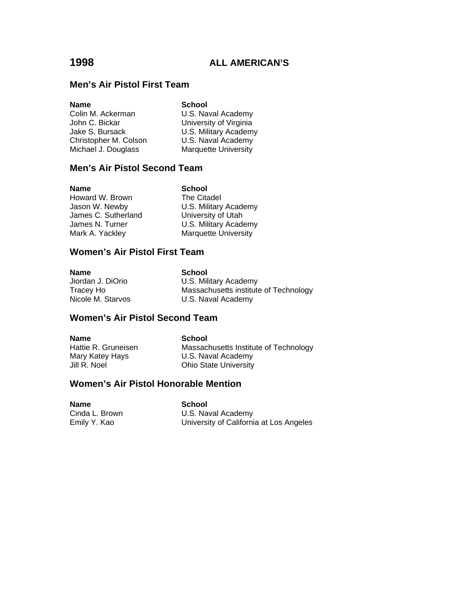#### **Men's Air Pistol First Team**

| <b>Name</b>           | <b>School</b>               |
|-----------------------|-----------------------------|
| Colin M. Ackerman     | U.S. Naval Academy          |
| John C. Bickar        | University of Virginia      |
| Jake S. Bursack       | U.S. Military Academy       |
| Christopher M. Colson | U.S. Naval Academy          |
| Michael J. Douglass   | <b>Marquette University</b> |

#### **Men's Air Pistol Second Team**

**Name**<br> **Howard W. Brown**<br> **Citadel Reference** Howard W. Brown Jason W. Newby **U.S. Military Academy**<br>James C. Sutherland University of Utah James C. Sutherland<br>James N. Turner Mark A. Yackley Marquette University

# U.S. Military Academy

#### **Women's Air Pistol First Team**

| <b>Name</b>       | School                                |
|-------------------|---------------------------------------|
| Jiordan J. DiOrio | U.S. Military Academy                 |
| Tracey Ho         | Massachusetts institute of Technology |
| Nicole M. Starvos | U.S. Naval Academy                    |

### **Women's Air Pistol Second Team**

**Name School**<br> **Hattie R. Gruneisen Massach** 

Massachusetts Institute of Technology Mary Katey Hays **U.S. Naval Academy** Jill R. Noel **Ohio State University** 

#### **Women's Air Pistol Honorable Mention**

| Name           | School                                  |
|----------------|-----------------------------------------|
| Cinda L. Brown | U.S. Naval Academy                      |
| Emily Y. Kao   | University of California at Los Angeles |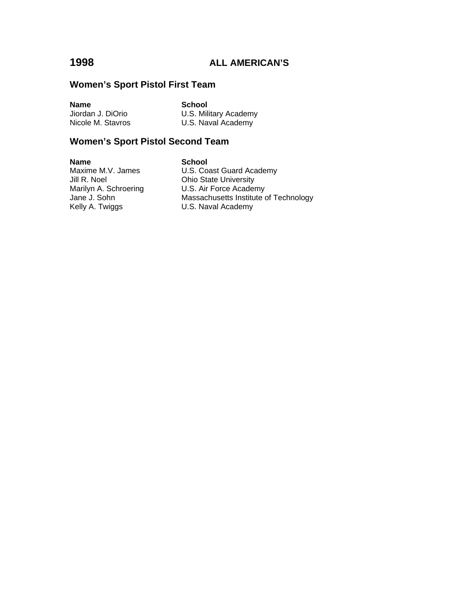#### **Women's Sport Pistol First Team**

**Name**<br> **School**<br> **Jiordan J. DiOrio**<br> **U.S. Mili** 

U.S. Military Academy Nicole M. Stavros **U.S. Naval Academy** 

### **Women's Sport Pistol Second Team**

**Name School**<br>Maxime M.V. James **School** Jill R. Noel **Ohio State University**<br>Marilyn A. Schroering **C. D. S. Air Force Acader** Kelly A. Twiggs **E. A. E. A. S. A.** U.S. Naval Academy

Maxime M.V. James<br>
Jill R. Noel Consult Control Chio State University Marilyn A. Schroering U.S. Air Force Academy<br>Jane J. Sohn Massachusetts Institute c Massachusetts Institute of Technology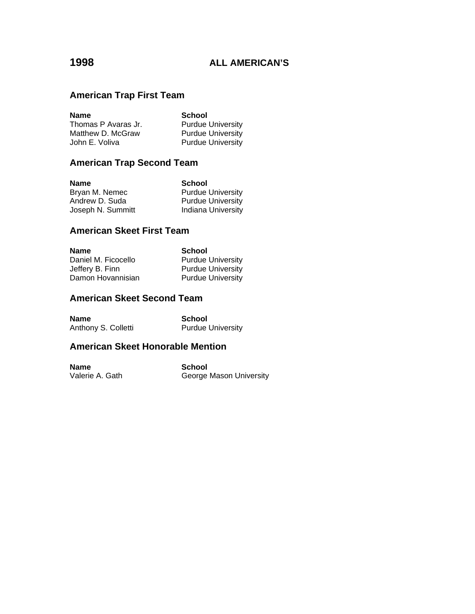### **American Trap First Team**

| <b>Name</b>         | <b>School</b>            |
|---------------------|--------------------------|
| Thomas P Avaras Jr. | <b>Purdue University</b> |
| Matthew D. McGraw   | <b>Purdue University</b> |
| John E. Voliva      | <b>Purdue University</b> |

### **American Trap Second Team**

| <b>Name</b>       | <b>School</b>             |
|-------------------|---------------------------|
| Bryan M. Nemec    | <b>Purdue University</b>  |
| Andrew D. Suda    | <b>Purdue University</b>  |
| Joseph N. Summitt | <b>Indiana University</b> |

#### **American Skeet First Team**

| <b>Name</b>         | <b>School</b>            |
|---------------------|--------------------------|
| Daniel M. Ficocello | <b>Purdue University</b> |
| Jeffery B. Finn     | <b>Purdue University</b> |
| Damon Hovannisian   | <b>Purdue University</b> |

### **American Skeet Second Team**

| <b>Name</b>         | School                   |
|---------------------|--------------------------|
| Anthony S. Colletti | <b>Purdue University</b> |

### **American Skeet Honorable Mention**

**Name**<br>
Valerie A. Gath<br>
Valerie A. Gath<br>
Seorge I George Mason University